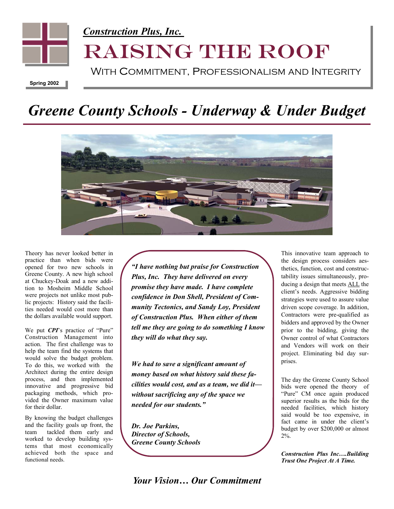

**Spring 2002** 

## *Greene County Schools - Underway & Under Budget*



Theory has never looked better in practice than when bids were opened for two new schools in Greene County. A new high school at Chuckey-Doak and a new addition to Mosheim Middle School were projects not unlike most public projects: History said the facilities needed would cost more than the dollars available would support.

We put **CPI**'s practice of "Pure" Construction Management into action. The first challenge was to help the team find the systems that would solve the budget problem. To do this, we worked with the Architect during the entire design process, and then implemented innovative and progressive bid packaging methods, which provided the Owner maximum value for their dollar.

By knowing the budget challenges and the facility goals up front, the team tackled them early and worked to develop building systems that most economically achieved both the space and functional needs.

*"I have nothing but praise for Construction Plus, Inc. They have delivered on every promise they have made. I have complete confidence in Don Shell, President of Community Tectonics, and Sandy Loy, President of Construction Plus. When either of them tell me they are going to do something I know they will do what they say.* 

*We had to save a significant amount of money based on what history said these facilities would cost, and as a team, we did it without sacrificing any of the space we needed for our students."* 

*Dr. Joe Parkins, Director of Schools, Greene County Schools* 

This innovative team approach to the design process considers aesthetics, function, cost and constructability issues simultaneously, producing a design that meets ALL the client's needs. Aggressive bidding strategies were used to assure value driven scope coverage. In addition, Contractors were pre-qualified as bidders and approved by the Owner prior to the bidding, giving the Owner control of what Contractors and Vendors will work on their project. Eliminating bid day surprises.

The day the Greene County School bids were opened the theory of "Pure" CM once again produced superior results as the bids for the needed facilities, which history said would be too expensive, in fact came in under the client's budget by over \$200,000 or almost 2%.

*Construction Plus Inc….Building Trust One Project At A Time.* 

### *Your Vision… Our Commitment*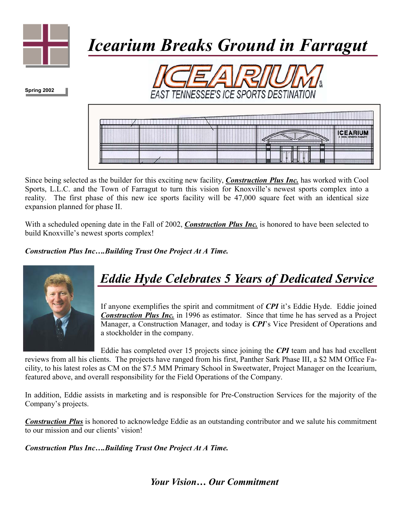

Since being selected as the builder for this exciting new facility, *Construction Plus Inc.* has worked with Cool Sports, L.L.C. and the Town of Farragut to turn this vision for Knoxville's newest sports complex into a reality. The first phase of this new ice sports facility will be 47,000 square feet with an identical size expansion planned for phase II.

With a scheduled opening date in the Fall of 2002, *Construction Plus Inc*. is honored to have been selected to build Knoxville's newest sports complex!

*Construction Plus Inc….Building Trust One Project At A Time.* 



## *Eddie Hyde Celebrates 5 Years of Dedicated Service*

If anyone exemplifies the spirit and commitment of *CPI* it's Eddie Hyde. Eddie joined *Construction Plus Inc.* in 1996 as estimator. Since that time he has served as a Project Manager, a Construction Manager, and today is *CPI*'s Vice President of Operations and a stockholder in the company.

Eddie has completed over 15 projects since joining the *CPI* team and has had excellent

reviews from all his clients. The projects have ranged from his first, Panther Sark Phase III, a \$2 MM Office Facility, to his latest roles as CM on the \$7.5 MM Primary School in Sweetwater, Project Manager on the Icearium, featured above, and overall responsibility for the Field Operations of the Company.

In addition, Eddie assists in marketing and is responsible for Pre-Construction Services for the majority of the Company's projects.

*Construction Plus* is honored to acknowledge Eddie as an outstanding contributor and we salute his commitment to our mission and our clients' vision!

*Construction Plus Inc….Building Trust One Project At A Time.*

*Your Vision… Our Commitment*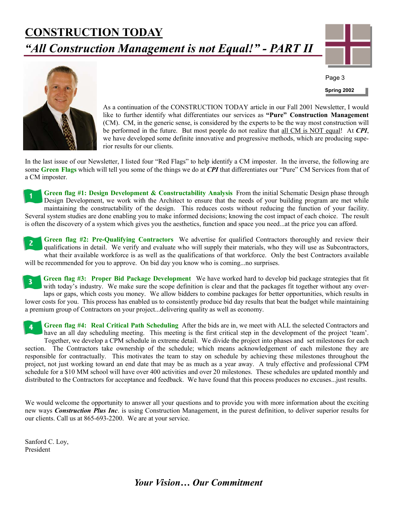### **CONSTRUCTION TODAY**

*"All Construction Management is not Equal!" - PART II* 



Page 3

**Spring 2002** 



As a continuation of the CONSTRUCTION TODAY article in our Fall 2001 Newsletter, I would like to further identify what differentiates our services as **"Pure" Construction Management** (CM). CM, in the generic sense, is considered by the experts to be the way most construction will be performed in the future. But most people do not realize that all CM is NOT equal! At *CPI*, we have developed some definite innovative and progressive methods, which are producing superior results for our clients.

In the last issue of our Newsletter, I listed four "Red Flags" to help identify a CM imposter. In the inverse, the following are some **Green Flags** which will tell you some of the things we do at *CPI* that differentiates our "Pure" CM Services from that of a CM imposter.

**Green flag #1: Design Development & Constructability Analysis** From the initial Schematic Design phase through Design Development, we work with the Architect to ensure that the needs of your building program are met while maintaining the constructability of the design. This reduces costs without reducing the function of your facility. Several system studies are done enabling you to make informed decisions; knowing the cost impact of each choice. The result is often the discovery of a system which gives you the aesthetics, function and space you need...at the price you can afford.

**Green flag #2: Pre-Qualifying Contractors** We advertise for qualified Contractors thoroughly and review their qualifications in detail. We verify and evaluate who will supply their materials, who they will use as Subcontractors, what their available workforce is as well as the qualifications of that workforce. Only the best Contractors available will be recommended for you to approve. On bid day you know who is coming...no surprises.

**Green flag #3: Proper Bid Package Development** We have worked hard to develop bid package strategies that fit with today's industry. We make sure the scope definition is clear and that the packages fit together without any overlaps or gaps, which costs you money. We allow bidders to combine packages for better opportunities, which results in lower costs for you. This process has enabled us to consistently produce bid day results that beat the budget while maintaining a premium group of Contractors on your project...delivering quality as well as economy.

**Green flag #4: Real Critical Path Scheduling** After the bids are in, we meet with ALL the selected Contractors and have an all day scheduling meeting. This meeting is the first critical step in the development of the project 'team'. Together, we develop a CPM schedule in extreme detail. We divide the project into phases and set milestones for each section. The Contractors take ownership of the schedule; which means acknowledgement of each milestone they are responsible for contractually. This motivates the team to stay on schedule by achieving these milestones throughout the project, not just working toward an end date that may be as much as a year away. A truly effective and professional CPM schedule for a \$10 MM school will have over 400 activities and over 20 milestones. These schedules are updated monthly and distributed to the Contractors for acceptance and feedback. We have found that this process produces no excuses...just results.

We would welcome the opportunity to answer all your questions and to provide you with more information about the exciting new ways *Construction Plus Inc*. is using Construction Management, in the purest definition, to deliver superior results for our clients. Call us at 865-693-2200. We are at your service.

Sanford C. Loy, President

*Your Vision… Our Commitment*